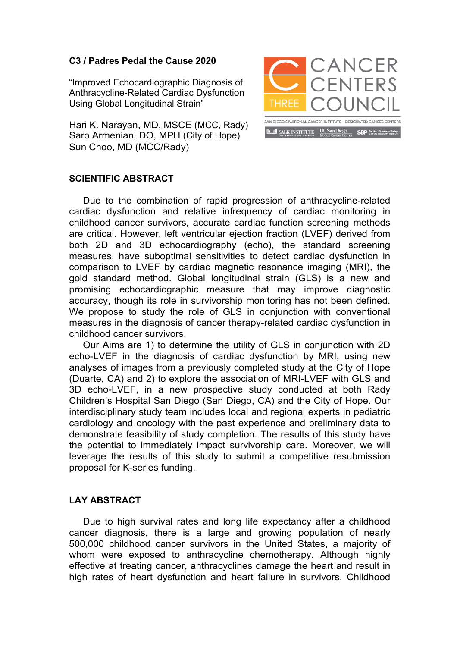## **C3 / Padres Pedal the Cause 2020**

"Improved Echocardiographic Diagnosis of Anthracycline-Related Cardiac Dysfunction Using Global Longitudinal Strain"

Hari K. Narayan, MD, MSCE (MCC, Rady) Saro Armenian, DO, MPH (City of Hope) Sun Choo, MD (MCC/Rady)



## **SCIENTIFIC ABSTRACT**

Due to the combination of rapid progression of anthracycline-related cardiac dysfunction and relative infrequency of cardiac monitoring in childhood cancer survivors, accurate cardiac function screening methods are critical. However, left ventricular ejection fraction (LVEF) derived from both 2D and 3D echocardiography (echo), the standard screening measures, have suboptimal sensitivities to detect cardiac dysfunction in comparison to LVEF by cardiac magnetic resonance imaging (MRI), the gold standard method. Global longitudinal strain (GLS) is a new and promising echocardiographic measure that may improve diagnostic accuracy, though its role in survivorship monitoring has not been defined. We propose to study the role of GLS in conjunction with conventional measures in the diagnosis of cancer therapy-related cardiac dysfunction in childhood cancer survivors.

Our Aims are 1) to determine the utility of GLS in conjunction with 2D echo-LVEF in the diagnosis of cardiac dysfunction by MRI, using new analyses of images from a previously completed study at the City of Hope (Duarte, CA) and 2) to explore the association of MRI-LVEF with GLS and 3D echo-LVEF, in a new prospective study conducted at both Rady Children's Hospital San Diego (San Diego, CA) and the City of Hope. Our interdisciplinary study team includes local and regional experts in pediatric cardiology and oncology with the past experience and preliminary data to demonstrate feasibility of study completion. The results of this study have the potential to immediately impact survivorship care. Moreover, we will leverage the results of this study to submit a competitive resubmission proposal for K-series funding.

## **LAY ABSTRACT**

Due to high survival rates and long life expectancy after a childhood cancer diagnosis, there is a large and growing population of nearly 500,000 childhood cancer survivors in the United States, a majority of whom were exposed to anthracycline chemotherapy. Although highly effective at treating cancer, anthracyclines damage the heart and result in high rates of heart dysfunction and heart failure in survivors. Childhood